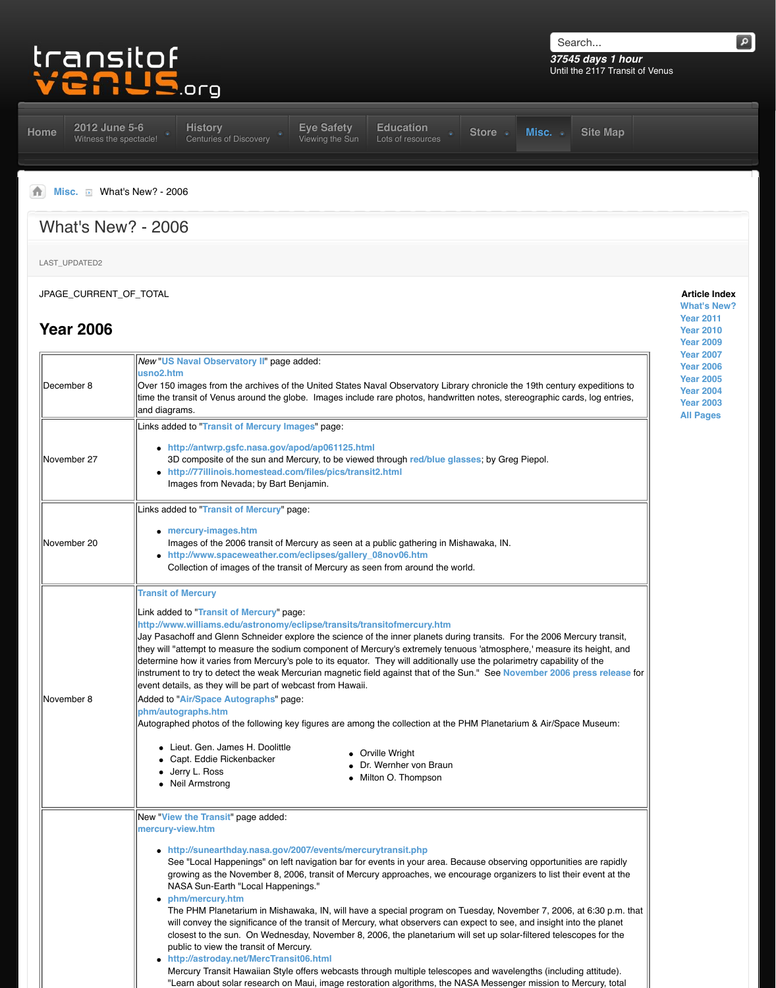|             | time the transit of Venus around the globe. Images include rare photos, handwrit<br>and diagrams.                                                                                                                                                                                                                                                                                                                                                                                                                                                                                                                                                                                                                                                                                                                                                                                                         |
|-------------|-----------------------------------------------------------------------------------------------------------------------------------------------------------------------------------------------------------------------------------------------------------------------------------------------------------------------------------------------------------------------------------------------------------------------------------------------------------------------------------------------------------------------------------------------------------------------------------------------------------------------------------------------------------------------------------------------------------------------------------------------------------------------------------------------------------------------------------------------------------------------------------------------------------|
| November 27 | Links added to "Transit of Mercury Images" page:<br>• http://antwrp.gsfc.nasa.gov/apod/ap061125.html<br>3D composite of the sun and Mercury, to be viewed through red/blue glas<br>http://77illinois.homestead.com/files/pics/transit2.html<br>Images from Nevada; by Bart Benjamin.                                                                                                                                                                                                                                                                                                                                                                                                                                                                                                                                                                                                                      |
| November 20 | Links added to "Transit of Mercury" page:<br>• mercury-images.htm<br>Images of the 2006 transit of Mercury as seen at a public gathering in Mis<br>http://www.spaceweather.com/eclipses/gallery_08nov06.htm<br>Collection of images of the transit of Mercury as seen from around the wo                                                                                                                                                                                                                                                                                                                                                                                                                                                                                                                                                                                                                  |
| November 8  | <b>Transit of Mercury</b><br>Link added to "Transit of Mercury" page:<br>http://www.williams.edu/astronomy/eclipse/transits/transitofmercury.htm<br>Jay Pasachoff and Glenn Schneider explore the science of the inner planets durir<br>they will "attempt to measure the sodium component of Mercury's extremely tenu<br>determine how it varies from Mercury's pole to its equator. They will additionally u<br>instrument to try to detect the weak Mercurian magnetic field against that of the S<br>event details, as they will be part of webcast from Hawaii.<br>Added to "Air/Space Autographs" page:<br>phm/autographs.htm<br>Autographed photos of the following key figures are among the collection at the P<br>• Lieut. Gen. James H. Doolittle<br><b>Orville Wright</b><br>• Capt. Eddie Rickenbacker<br>Dr. Wernher von Braun<br>• Jerry L. Ross<br>Milton O. Thompson<br>• Neil Armstrong |
|             | New "View the Transit" page added:<br>mercury-view.htm<br>• http://sunearthday.nasa.gov/2007/events/mercurytransit.php<br>See "Local Happenings" on left navigation bar for events in your area. Be<br>growing as the November 8, 2006, transit of Mercury approaches, we enc<br>NASA Sun-Earth "Local Happenings."<br>phm/mercury.htm<br>The PHM Planetarium in Mishawaka, IN, will have a special program on T<br>will convey the significance of the transit of Mercury, what observers can e<br>closest to the sun. On Wednesday, November 8, 2006, the planetarium w<br>public to view the transit of Mercury.<br>http://astroday.net/MercTransit06.html<br>Mercury Transit Hawaiian Style offers webcasts through multiple telescope<br>"Learn about solar research on Maui, image restoration algorithms, the NA                                                                                   |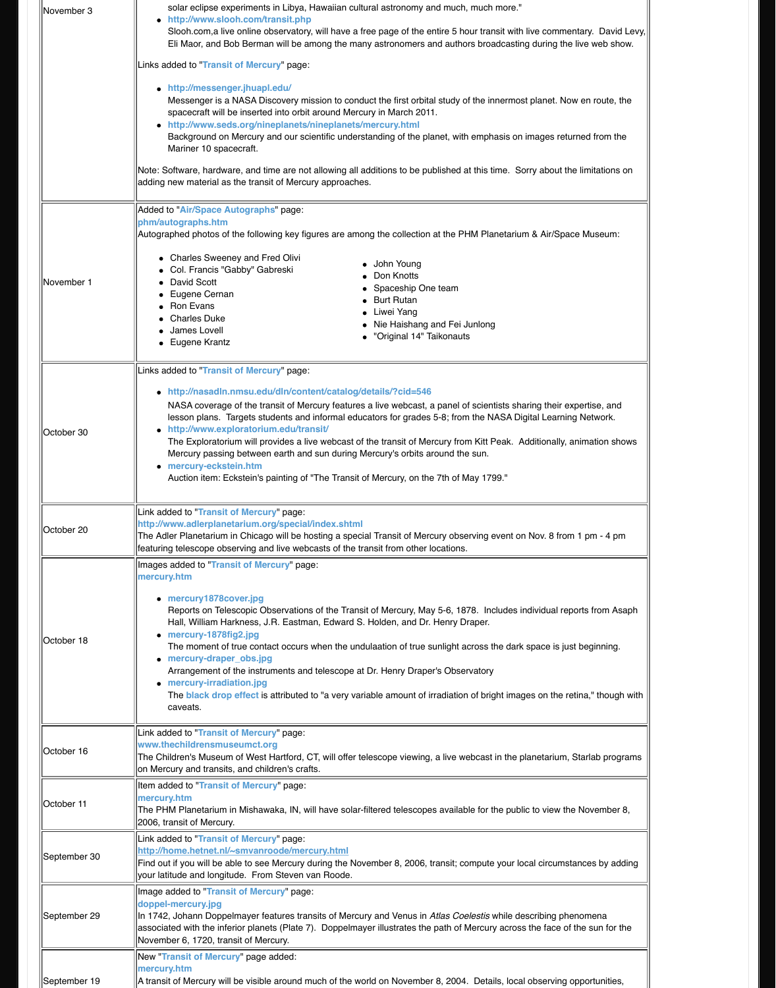| October 30   | • http://nasadln.nmsu.edu/dln/content/catalog/details/?cid=546<br>NASA coverage of the transit of Mercury features a live webcast, a panel<br>lesson plans. Targets students and informal educators for grades 5-8; from<br>http://www.exploratorium.edu/transit/<br>$\bullet$<br>The Exploratorium will provides a live webcast of the transit of Mercury fro<br>Mercury passing between earth and sun during Mercury's orbits around th<br>mercury-eckstein.htm<br>Auction item: Eckstein's painting of "The Transit of Mercury, on the 7th of                                        |
|--------------|-----------------------------------------------------------------------------------------------------------------------------------------------------------------------------------------------------------------------------------------------------------------------------------------------------------------------------------------------------------------------------------------------------------------------------------------------------------------------------------------------------------------------------------------------------------------------------------------|
| October 20   | Link added to "Transit of Mercury" page:<br>http://www.adlerplanetarium.org/special/index.shtml<br>The Adler Planetarium in Chicago will be hosting a special Transit of Mercury obs<br>featuring telescope observing and live webcasts of the transit from other locations                                                                                                                                                                                                                                                                                                             |
| October 18   | Images added to "Transit of Mercury" page:<br>mercury.htm<br>• mercury1878cover.jpg<br>Reports on Telescopic Observations of the Transit of Mercury, May 5-6, 18<br>Hall, William Harkness, J.R. Eastman, Edward S. Holden, and Dr. Henry I<br>• mercury-1878fig2.jpg<br>The moment of true contact occurs when the undulaation of true sunlight<br>• mercury-draper_obs.jpg<br>Arrangement of the instruments and telescope at Dr. Henry Draper's Obse<br>• mercury-irradiation.jpg<br>The <b>black drop effect</b> is attributed to "a very variable amount of irradiatio<br>caveats. |
| October 16   | Link added to "Transit of Mercury" page:<br>www.thechildrensmuseumct.org<br>The Children's Museum of West Hartford, CT, will offer telescope viewing, a live w<br>on Mercury and transits, and children's crafts.                                                                                                                                                                                                                                                                                                                                                                       |
| October 11   | Item added to "Transit of Mercury" page:<br>mercury.htm<br>The PHM Planetarium in Mishawaka, IN, will have solar-filtered telescopes availa<br>2006, transit of Mercury.                                                                                                                                                                                                                                                                                                                                                                                                                |
| September 30 | Link added to "Transit of Mercury" page:<br>http://home.hetnet.nl/~smvanroode/mercury.html<br>Find out if you will be able to see Mercury during the November 8, 2006, transit; d<br>your latitude and longitude. From Steven van Roode.                                                                                                                                                                                                                                                                                                                                                |
| September 29 | Image added to "Transit of Mercury" page:<br>doppel-mercury.jpg<br>In 1742, Johann Doppelmayer features transits of Mercury and Venus in Atlas Co<br>associated with the inferior planets (Plate 7). Doppelmayer illustrates the path of<br>November 6, 1720, transit of Mercury.                                                                                                                                                                                                                                                                                                       |
| September 19 | New "Transit of Mercury" page added:<br>mercury.htm<br>A transit of Mercury will be visible around much of the world on November 8, 2004                                                                                                                                                                                                                                                                                                                                                                                                                                                |